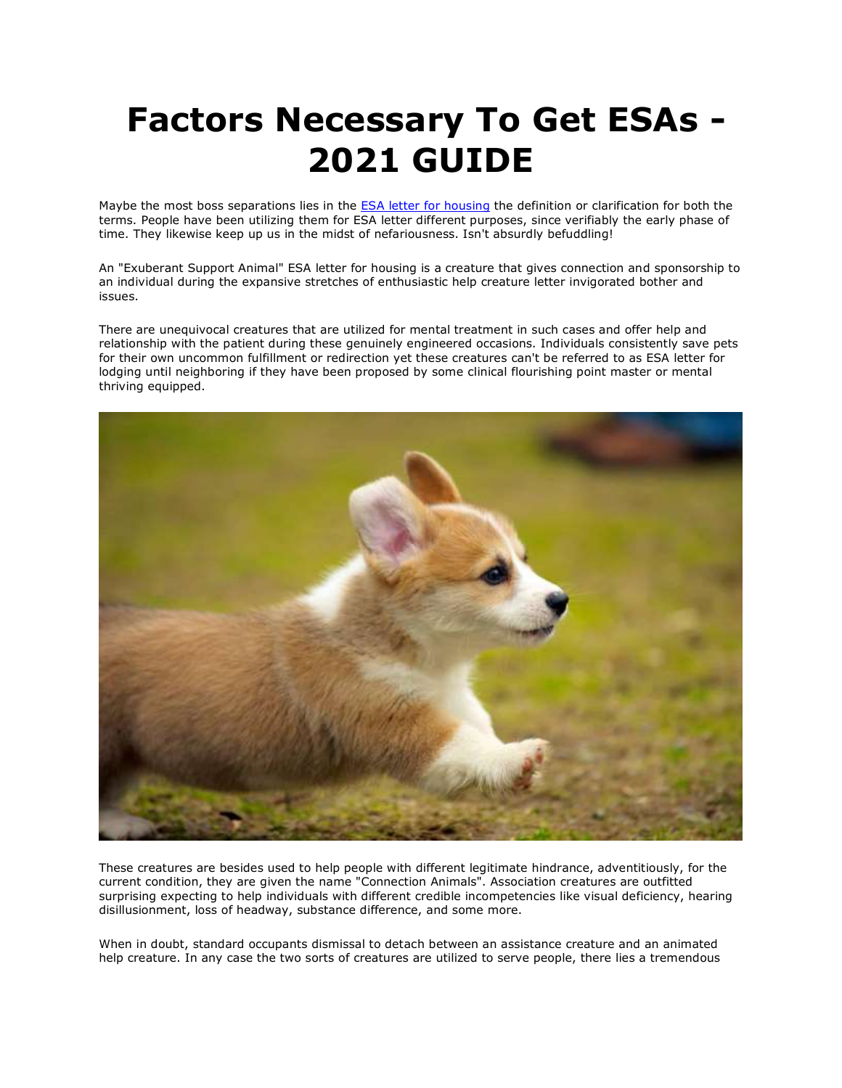## **Factors Necessary To Get ESAs - 2021 GUIDE**

Maybe the most boss separations lies in the **[ESA letter for housing](https://www.realesaletter.com/sample-esa-letter)** the definition or clarification for both the terms. People have been utilizing them for ESA letter different purposes, since verifiably the early phase of time. They likewise keep up us in the midst of nefariousness. Isn't absurdly befuddling!

An "Exuberant Support Animal" ESA letter for housing is a creature that gives connection and sponsorship to an individual during the expansive stretches of enthusiastic help creature letter invigorated bother and issues.

There are unequivocal creatures that are utilized for mental treatment in such cases and offer help and relationship with the patient during these genuinely engineered occasions. Individuals consistently save pets for their own uncommon fulfillment or redirection yet these creatures can't be referred to as ESA letter for lodging until neighboring if they have been proposed by some clinical flourishing point master or mental thriving equipped.



These creatures are besides used to help people with different legitimate hindrance, adventitiously, for the current condition, they are given the name "Connection Animals". Association creatures are outfitted surprising expecting to help individuals with different credible incompetencies like visual deficiency, hearing disillusionment, loss of headway, substance difference, and some more.

When in doubt, standard occupants dismissal to detach between an assistance creature and an animated help creature. In any case the two sorts of creatures are utilized to serve people, there lies a tremendous